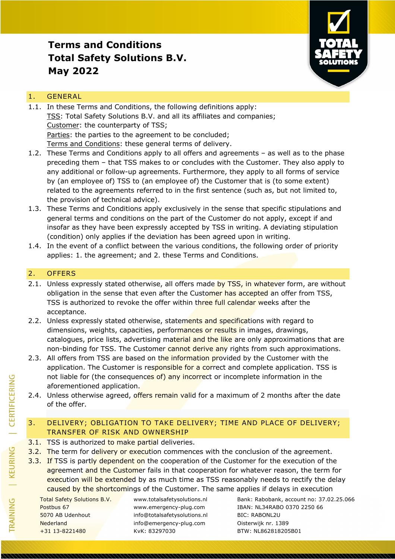

### 1. GENERAL

- 1.1. In these Terms and Conditions, the following definitions apply: TSS: Total Safety Solutions B.V. and all its affiliates and companies; Customer: the counterparty of TSS; Parties: the parties to the agreement to be concluded; Terms and Conditions: these general terms of delivery.
- 1.2. These Terms and Conditions apply to all offers and agreements as well as to the phase preceding them – that TSS makes to or concludes with the Customer. They also apply to any additional or follow-up agreements. Furthermore, they apply to all forms of service by (an employee of) TSS to (an employee of) the Customer that is (to some extent) related to the agreements referred to in the first sentence (such as, but not limited to, the provision of technical advice).
- 1.3. These Terms and Conditions apply exclusively in the sense that specific stipulations and general terms and conditions on the part of the Customer do not apply, except if and insofar as they have been expressly accepted by TSS in writing. A deviating stipulation (condition) only applies if the deviation has been agreed upon in writing.
- 1.4. In the event of a conflict between the various conditions, the following order of priority applies: 1. the agreement; and 2. these Terms and Conditions.

### 2. OFFERS

- 2.1. Unless expressly stated otherwise, all offers made by TSS, in whatever form, are without obligation in the sense that even after the Customer has accepted an offer from TSS, TSS is authorized to revoke the offer within three full calendar weeks after the acceptance.
- 2.2. Unless expressly stated otherwise, statements and specifications with regard to dimensions, weights, capacities, performances or results in images, drawings, catalogues, price lists, advertising material and the like are only approximations that are non-binding for TSS. The Customer cannot derive any rights from such approximations.
- 2.3. All offers from TSS are based on the information provided by the Customer with the application. The Customer is responsible for a correct and complete application. TSS is not liable for (the consequences of) any incorrect or incomplete information in the aforementioned application.
- 2.4. Unless otherwise agreed, offers remain valid for a maximum of 2 months after the date of the offer.

## 3. DELIVERY; OBLIGATION TO TAKE DELIVERY; TIME AND PLACE OF DELIVERY; TRANSFER OF RISK AND OWNERSHIP

- 3.1. TSS is authorized to make partial deliveries.
- 3.2. The term for delivery or execution commences with the conclusion of the agreement.
- 3.3. If TSS is partly dependent on the cooperation of the Customer for the execution of the agreement and the Customer fails in that cooperation for whatever reason, the term for execution will be extended by as much time as TSS reasonably needs to rectify the delay caused by the shortcomings of the Customer. The same applies if delays in execution

5070 AB Udenhout info@totalsafetysolutions.nl BIC: RABONL2U Nederland info@emergency-plug.com Oisterwijk nr. 1389 +31 13-8221480 KvK: 83297030 BTW: NL862818205B01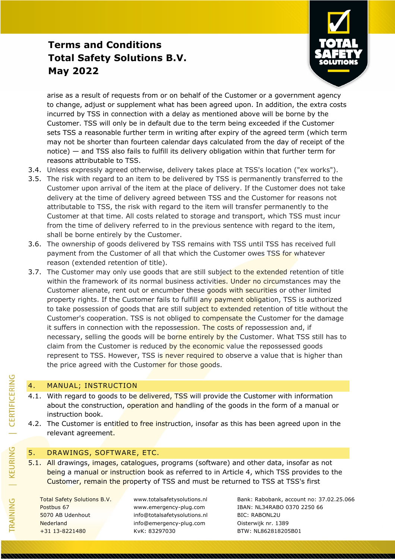

arise as a result of requests from or on behalf of the Customer or a government agency to change, adjust or supplement what has been agreed upon. In addition, the extra costs incurred by TSS in connection with a delay as mentioned above will be borne by the Customer. TSS will only be in default due to the term being exceeded if the Customer sets TSS a reasonable further term in writing after expiry of the agreed term (which term may not be shorter than fourteen calendar days calculated from the day of receipt of the notice) — and TSS also fails to fulfill its delivery obligation within that further term for reasons attributable to TSS.

- 3.4. Unless expressly agreed otherwise, delivery takes place at TSS's location ("ex works").
- 3.5. The risk with regard to an item to be delivered by TSS is permanently transferred to the Customer upon arrival of the item at the place of delivery. If the Customer does not take delivery at the time of delivery agreed between TSS and the Customer for reasons not attributable to TSS, the risk with regard to the item will transfer permanently to the Customer at that time. All costs related to storage and transport, which TSS must incur from the time of delivery referred to in the previous sentence with regard to the item, shall be borne entirely by the Customer.
- 3.6. The ownership of goods delivered by TSS remains with TSS until TSS has received full payment from the Customer of all that which the Customer owes TSS for whatever reason (extended retention of title).
- 3.7. The Customer may only use goods that are still subject to the extended retention of title within the framework of its normal business activities. Under no circumstances may the Customer alienate, rent out or encumber these goods with securities or other limited property rights. If the Customer fails to fulfill any payment obligation, TSS is authorized to take possession of goods that are still subject to extended retention of title without the Customer's cooperation. TSS is not obliged to compensate the Customer for the damage it suffers in connection with the repossession. The costs of repossession and, if necessary, selling the goods will be borne entirely by the Customer. What TSS still has to claim from the Customer is reduced by the economic value the repossessed goods represent to TSS. However, TSS is never required to observe a value that is higher than the price agreed with the Customer for those goods.

### 4. MANUAL; INSTRUCTION

- 4.1. With regard to goods to be delivered, TSS will provide the Customer with information about the construction, operation and handling of the goods in the form of a manual or instruction book.
- 4.2. The Customer is entitled to free instruction, insofar as this has been agreed upon in the relevant agreement.

### 5. DRAWINGS, SOFTWARE, ETC.

5.1. All drawings, images, catalogues, programs (software) and other data, insofar as not being a manual or instruction book as referred to in Article 4, which TSS provides to the Customer, remain the property of TSS and must be returned to TSS at TSS's first

5070 AB Udenhout info@totalsafetysolutions.nl BIC: RABONL2U Nederland info@emergency-plug.com Oisterwijk nr. 1389 +31 13-8221480 KvK: 83297030 BTW: NL862818205B01

Total Safety Solutions B.V. www.totalsafetysolutions.nl Bank: Rabobank, account no: 37.02.25.066 Postbus 67 www.emergency-plug.com IBAN: NL34RABO 0370 2250 66

TRAINING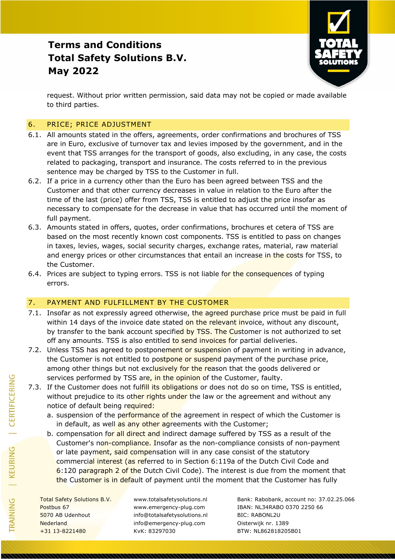

request. Without prior written permission, said data may not be copied or made available to third parties.

### 6. PRICE; PRICE ADJUSTMENT

- 6.1. All amounts stated in the offers, agreements, order confirmations and brochures of TSS are in Euro, exclusive of turnover tax and levies imposed by the government, and in the event that TSS arranges for the transport of goods, also excluding, in any case, the costs related to packaging, transport and insurance. The costs referred to in the previous sentence may be charged by TSS to the Customer in full.
- 6.2. If a price in a currency other than the Euro has been agreed between TSS and the Customer and that other currency decreases in value in relation to the Euro after the time of the last (price) offer from TSS, TSS is entitled to adjust the price insofar as necessary to compensate for the decrease in value that has occurred until the moment of full payment.
- 6.3. Amounts stated in offers, quotes, order confirmations, brochures et cetera of TSS are based on the most recently known cost components. TSS is entitled to pass on changes in taxes, levies, wages, social security charges, exchange rates, material, raw material and energy prices or other circumstances that entail an increase in the costs for TSS, to the Customer.
- 6.4. Prices are subject to typing errors. TSS is not liable for the consequences of typing errors.

### 7. PAYMENT AND FULFILLMENT BY THE CUSTOMER

- 7.1. Insofar as not expressly agreed otherwise, the agreed purchase price must be paid in full within 14 days of the invoice date stated on the relevant invoice, without any discount, by transfer to the bank account specified by TSS. The Customer is not authorized to set off any amounts. TSS is also entitled to send invoices for partial deliveries.
- 7.2. Unless TSS has agreed to postponement or suspension of payment in writing in advance, the Customer is not entitled to postpone or suspend payment of the purchase price, among other things but not exclusively for the reason that the goods delivered or services performed by TSS are, in the opinion of the Customer, faulty.
- 7.3. If the Customer does not fulfill its obligations or does not do so on time, TSS is entitled, without prejudice to its other rights under the law or the agreement and without any notice of default being required:
	- a. suspension of the performance of the agreement in respect of which the Customer is in default, as well as any other agreements with the Customer;
	- b. compensation for all direct and indirect damage suffered by TSS as a result of the Customer's non-compliance. Insofar as the non-compliance consists of non-payment or late payment, said compensation will in any case consist of the statutory commercial interest (as referred to in Section 6:119a of the Dutch Civil Code and 6:120 paragraph 2 of the Dutch Civil Code). The interest is due from the moment that the Customer is in default of payment until the moment that the Customer has fully

5070 AB Udenhout info@totalsafetysolutions.nl BIC: RABONL2U Nederland info@emergency-plug.com Oisterwijk nr. 1389 +31 13-8221480 KvK: 83297030 BTW: NL862818205B01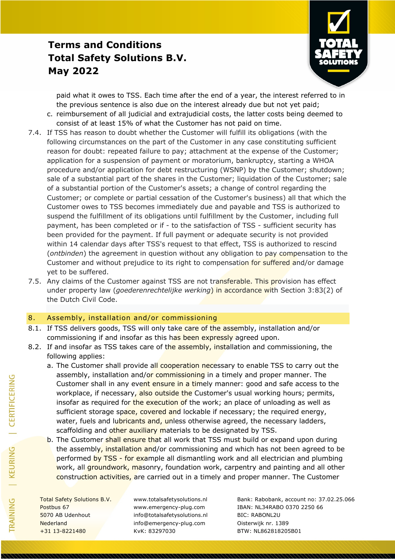

paid what it owes to TSS. Each time after the end of a year, the interest referred to in the previous sentence is also due on the interest already due but not yet paid;

- c. reimbursement of all judicial and extrajudicial costs, the latter costs being deemed to consist of at least 15% of what the Customer has not paid on time.
- 7.4. If TSS has reason to doubt whether the Customer will fulfill its obligations (with the following circumstances on the part of the Customer in any case constituting sufficient reason for doubt: repeated failure to pay; attachment at the expense of the Customer; application for a suspension of payment or moratorium, bankruptcy, starting a WHOA procedure and/or application for debt restructuring (WSNP) by the Customer; shutdown; sale of a substantial part of the shares in the Customer; liquidation of the Customer; sale of a substantial portion of the Customer's assets; a change of control regarding the Customer; or complete or partial cessation of the Customer's business) all that which the Customer owes to TSS becomes immediately due and payable and TSS is authorized to suspend the fulfillment of its obligations until fulfillment by the Customer, including full payment, has been completed or if - to the satisfaction of TSS - sufficient security has been provided for the payment. If full payment or adequate security is not provided within 14 calendar days after TSS's request to that effect, TSS is authorized to rescind (*ontbinden*) the agreement in question without any obligation to pay compensation to the Customer and without prejudice to its right to compensation for suffered and/or damage yet to be suffered.
- 7.5. Any claims of the Customer against TSS are not transferable. This provision has effect under property law (*goederenrechtelijke werking*) in accordance with Section 3:83(2) of the Dutch Civil Code.

#### 8. Assembly, installation and/or commissioning

- 8.1. If TSS delivers goods, TSS will only take care of the assembly, installation and/or commissioning if and insofar as this has been expressly agreed upon.
- 8.2. If and insofar as TSS takes care of the assembly, installation and commissioning, the following applies:
	- a. The Customer shall provide all cooperation necessary to enable TSS to carry out the assembly, installation and/or commissioning in a timely and proper manner. The Customer shall in any event ensure in a timely manner: good and safe access to the workplace, if necessary, also outside the Customer's usual working hours; permits, insofar as required for the execution of the work; an place of unloading as well as sufficient storage space, covered and lockable if necessary; the required energy, water, fuels and lubricants and, unless otherwise agreed, the necessary ladders, scaffolding and other auxiliary materials to be designated by TSS.
	- b. The Customer shall ensure that all work that TSS must build or expand upon during the assembly, installation and/or commissioning and which has not been agreed to be performed by TSS - for example all dismantling work and all electrician and plumbing work, all groundwork, masonry, foundation work, carpentry and painting and all other construction activities, are carried out in a timely and proper manner. The Customer

5070 AB Udenhout info@totalsafetysolutions.nl BIC: RABONL2U Nederland info@emergency-plug.com Oisterwijk nr. 1389 +31 13-8221480 KvK: 83297030 BTW: NL862818205B01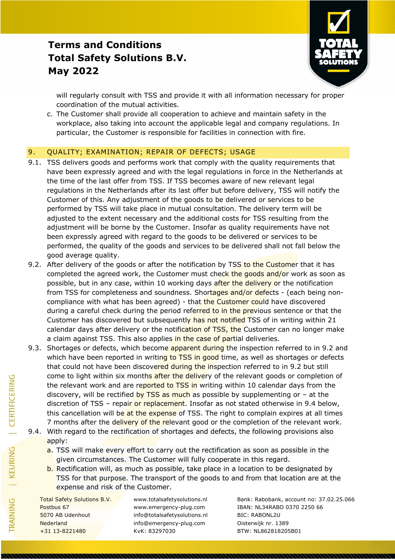

will regularly consult with TSS and provide it with all information necessary for proper coordination of the mutual activities.

c. The Customer shall provide all cooperation to achieve and maintain safety in the workplace, also taking into account the applicable legal and company regulations. In particular, the Customer is responsible for facilities in connection with fire.

#### 9. QUALITY; EXAMINATION; REPAIR OF DEFECTS; USAGE

- 9.1. TSS delivers goods and performs work that comply with the quality requirements that have been expressly agreed and with the legal regulations in force in the Netherlands at the time of the last offer from TSS. If TSS becomes aware of new relevant legal regulations in the Netherlands after its last offer but before delivery, TSS will notify the Customer of this. Any adjustment of the goods to be delivered or services to be performed by TSS will take place in mutual consultation. The delivery term will be adjusted to the extent necessary and the additional costs for TSS resulting from the adjustment will be borne by the Customer. Insofar as quality requirements have not been expressly agreed with regard to the goods to be delivered or services to be performed, the quality of the goods and services to be delivered shall not fall below the good average quality.
- 9.2. After delivery of the goods or after the notification by TSS to the Customer that it has completed the agreed work, the Customer must check the goods and/or work as soon as possible, but in any case, within 10 working days after the delivery or the notification from TSS for completeness and soundness. Shortages and/or defects - (each being noncompliance with what has been agreed) - that the Customer could have discovered during a careful check during the period referred to in the previous sentence or that the Customer has discovered but subsequently has not notified TSS of in writing within 21 calendar days after delivery or the notification of TSS, the Customer can no longer make a claim against TSS. This also applies in the case of partial deliveries.
- 9.3. Shortages or defects, which become apparent during the inspection referred to in 9.2 and which have been reported in writing to TSS in good time, as well as shortages or defects that could not have been discovered during the inspection referred to in 9.2 but still come to light within six months after the delivery of the relevant goods or completion of the relevant work and are reported to TSS in writing within 10 calendar days from the discovery, will be rectified by TSS as much as possible by supplementing or  $-$  at the discretion of TSS – repair or replacement. Insofar as not stated otherwise in 9.4 below, this cancellation will be at the expense of TSS. The right to complain expires at all times 7 months after the delivery of the relevant good or the completion of the relevant work.
- 9.4. With regard to the rectification of shortages and defects, the following provisions also apply:
	- a. TSS will make every effort to carry out the rectification as soon as possible in the given circumstances. The Customer will fully cooperate in this regard.
	- b. Rectification will, as much as possible, take place in a location to be designated by TSS for that purpose. The transport of the goods to and from that location are at the expense and risk of the Customer.

5070 AB Udenhout info@totalsafetysolutions.nl BIC: RABONL2U Nederland info@emergency-plug.com Oisterwijk nr. 1389 +31 13-8221480 KvK: 83297030 BTW: NL862818205B01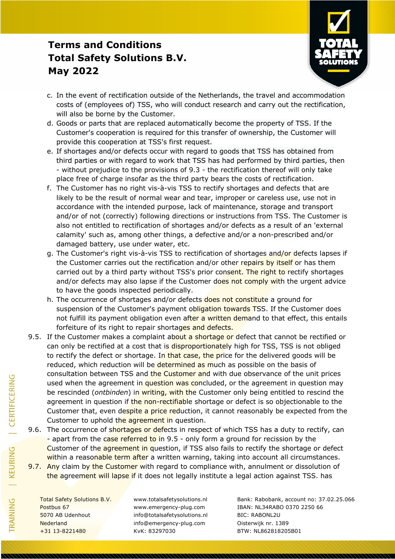

- c. In the event of rectification outside of the Netherlands, the travel and accommodation costs of (employees of) TSS, who will conduct research and carry out the rectification, will also be borne by the Customer.
- d. Goods or parts that are replaced automatically become the property of TSS. If the Customer's cooperation is required for this transfer of ownership, the Customer will provide this cooperation at TSS's first request.
- e. If shortages and/or defects occur with regard to goods that TSS has obtained from third parties or with regard to work that TSS has had performed by third parties, then - without prejudice to the provisions of 9.3 - the rectification thereof will only take place free of charge insofar as the third party bears the costs of rectification.
- f. The Customer has no right vis-à-vis TSS to rectify shortages and defects that are likely to be the result of normal wear and tear, improper or careless use, use not in accordance with the intended purpose, lack of maintenance, storage and transport and/or of not (correctly) following directions or instructions from TSS. The Customer is also not entitled to rectification of shortages and/or defects as a result of an 'external calamity' such as, among other things, a defective and/or a non-prescribed and/or damaged battery, use under water, etc.
- g. The Customer's right vis-à-vis TSS to rectification of shortages and/or defects lapses if the Customer carries out the rectification and/or other repairs by itself or has them carried out by a third party without TSS's prior consent. The right to rectify shortages and/or defects may also lapse if the Customer does not comply with the urgent advice to have the goods inspected periodically.
- h. The occurrence of shortages and/or defects does not constitute a ground for suspension of the Customer's payment obligation towards TSS. If the Customer does not fulfill its payment obligation even after a written demand to that effect, this entails forfeiture of its right to repair shortages and defects.
- 9.5. If the Customer makes a complaint about a shortage or defect that cannot be rectified or can only be rectified at a cost that is disproportionately high for TSS, TSS is not obliged to rectify the defect or shortage. In that case, the price for the delivered goods will be reduced, which reduction will be determined as much as possible on the basis of consultation between TSS and the Customer and with due observance of the unit prices used when the agreement in question was concluded, or the agreement in question may be rescinded (*ontbinden*) in writing, with the Customer only being entitled to rescind the agreement in question if the non-rectifiable shortage or defect is so objectionable to the Customer that, even despite a price reduction, it cannot reasonably be expected from the Customer to uphold the agreement in question.
- 9.6. The occurrence of shortages or defects in respect of which TSS has a duty to rectify, can - apart from the case referred to in 9.5 - only form a ground for recission by the Customer of the agreement in question, if TSS also fails to rectify the shortage or defect within a reasonable term after a written warning, taking into account all circumstances.
- 9.7. Any claim by the Customer with regard to compliance with, annulment or dissolution of the agreement will lapse if it does not legally institute a legal action against TSS. has

| CERTIFICERING

| KEURING

TRAINING

5070 AB Udenhout info@totalsafetysolutions.nl BIC: RABONL2U Nederland info@emergency-plug.com Oisterwijk nr. 1389 +31 13-8221480 KvK: 83297030 BTW: NL862818205B01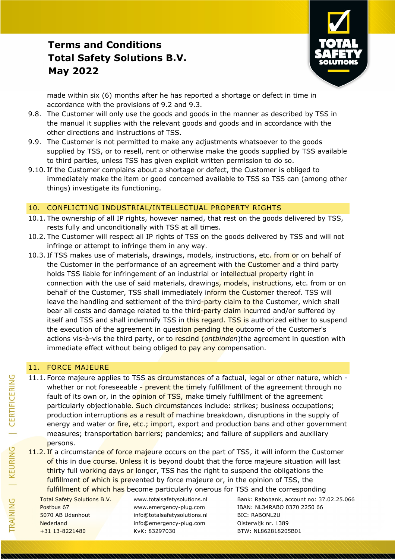

made within six (6) months after he has reported a shortage or defect in time in accordance with the provisions of 9.2 and 9.3.

- 9.8. The Customer will only use the goods and goods in the manner as described by TSS in the manual it supplies with the relevant goods and goods and in accordance with the other directions and instructions of TSS.
- 9.9. The Customer is not permitted to make any adjustments whatsoever to the goods supplied by TSS, or to resell, rent or otherwise make the goods supplied by TSS available to third parties, unless TSS has given explicit written permission to do so.
- 9.10. If the Customer complains about a shortage or defect, the Customer is obliged to immediately make the item or good concerned available to TSS so TSS can (among other things) investigate its functioning.

#### 10. CONFLICTING INDUSTRIAL/INTELLECTUAL PROPERTY RIGHTS

- 10.1. The ownership of all IP rights, however named, that rest on the goods delivered by TSS, rests fully and unconditionally with TSS at all times.
- 10.2. The Customer will respect all IP rights of TSS on the goods delivered by TSS and will not infringe or attempt to infringe them in any way.
- 10.3. If TSS makes use of materials, drawings, models, instructions, etc. from or on behalf of the Customer in the performance of an agreement with the Customer and a third party holds TSS liable for infringement of an industrial or intellectual property right in connection with the use of said materials, drawings, models, instructions, etc. from or on behalf of the Customer, TSS shall immediately inform the Customer thereof. TSS will leave the handling and settlement of the third-party claim to the Customer, which shall bear all costs and damage related to the third-party claim incurred and/or suffered by itself and TSS and shall indemnify TSS in this regard. TSS is authorized either to suspend the execution of the agreement in question pending the outcome of the Customer's actions vis-à-vis the third party, or to rescind (*ontbinden*)the agreement in question with immediate effect without being obliged to pay any compensation.

#### 11. FORCE MAJEURE

- 11.1. Force majeure applies to TSS as circumstances of a factual, legal or other nature, which whether or not foreseeable - prevent the timely fulfillment of the agreement through no fault of its own or, in the opinion of TSS, make timely fulfillment of the agreement particularly objectionable. Such circumstances include: strikes; business occupations; production interruptions as a result of machine breakdown, disruptions in the supply of energy and water or *fire, etc.; import*, export and production bans and other government measures; transportation barriers; pandemics; and failure of suppliers and auxiliary persons.
- 11.2. If a circumstance of force majeure occurs on the part of TSS, it will inform the Customer of this in due course. Unless it is beyond doubt that the force majeure situation will last thirty full working days or longer, TSS has the right to suspend the obligations the fulfillment of which is prevented by force majeure or, in the opinion of TSS, the fulfillment of which has become particularly onerous for TSS and the corresponding

5070 AB Udenhout info@totalsafetysolutions.nl BIC: RABONL2U Nederland info@emergency-plug.com Oisterwijk nr. 1389 +31 13-8221480 KvK: 83297030 BTW: NL862818205B01